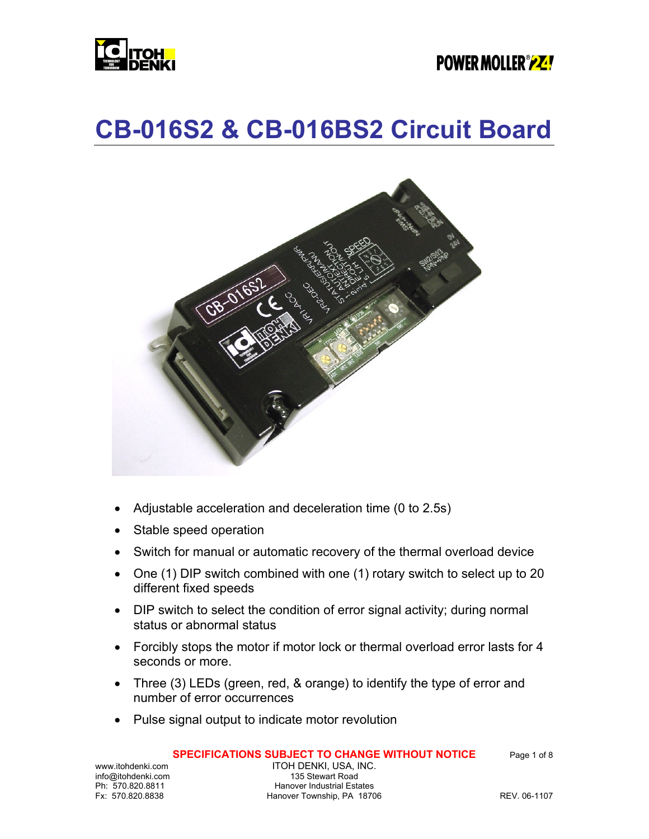

### **POWER MOLLER** *P***Z!**

### **CB-016S2 & CB-016BS2 Circuit Board**



- Adjustable acceleration and deceleration time (0 to 2.5s)
- Stable speed operation
- Switch for manual or automatic recovery of the thermal overload device
- One (1) DIP switch combined with one (1) rotary switch to select up to 20 different fixed speeds
- DIP switch to select the condition of error signal activity; during normal status or abnormal status
- Forcibly stops the motor if motor lock or thermal overload error lasts for 4 seconds or more.
- Three (3) LEDs (green, red, & orange) to identify the type of error and number of error occurrences
- Pulse signal output to indicate motor revolution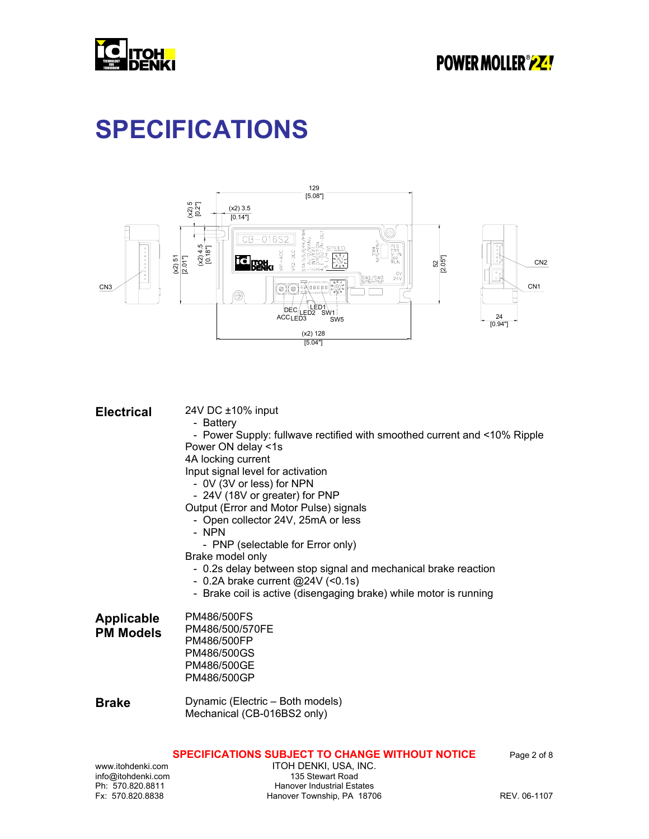

# **SPECIFICATIONS**



| <b>Electrical</b>                     | 24V DC ±10% input<br>- Battery<br>- Power Supply: fullwave rectified with smoothed current and <10% Ripple<br>Power ON delay <1s<br>4A locking current<br>Input signal level for activation<br>- 0V (3V or less) for NPN<br>- 24V (18V or greater) for PNP<br>Output (Error and Motor Pulse) signals<br>- Open collector 24V, 25mA or less<br>- NPN<br>- PNP (selectable for Error only)<br>Brake model only<br>- 0.2s delay between stop signal and mechanical brake reaction<br>- 0.2A brake current $@24V$ (<0.1s)<br>- Brake coil is active (disengaging brake) while motor is running |
|---------------------------------------|--------------------------------------------------------------------------------------------------------------------------------------------------------------------------------------------------------------------------------------------------------------------------------------------------------------------------------------------------------------------------------------------------------------------------------------------------------------------------------------------------------------------------------------------------------------------------------------------|
| <b>Applicable</b><br><b>PM Models</b> | PM486/500FS<br>PM486/500/570FE<br>PM486/500FP<br>PM486/500GS<br>PM486/500GE<br>PM486/500GP                                                                                                                                                                                                                                                                                                                                                                                                                                                                                                 |
| <b>Brake</b>                          | Dynamic (Electric - Both models)<br>Mechanical (CB-016BS2 only)                                                                                                                                                                                                                                                                                                                                                                                                                                                                                                                            |

#### **SPECIFICATIONS SUBJECT TO CHANGE WITHOUT NOTICE** Page 2 of 8

info@itohdenki.com<br>Ph: 570.820.8811

www.itohdenki.com ITOH DENKI, USA, INC.<br>info@itohdenki.com 135 Stewart Road Ph: 570.820.8811 Hanover Industrial Estates<br>Fx: 570.820.8838 Hanover Township, PA 1870 Hanover Township, PA 18706 REV. 06-1107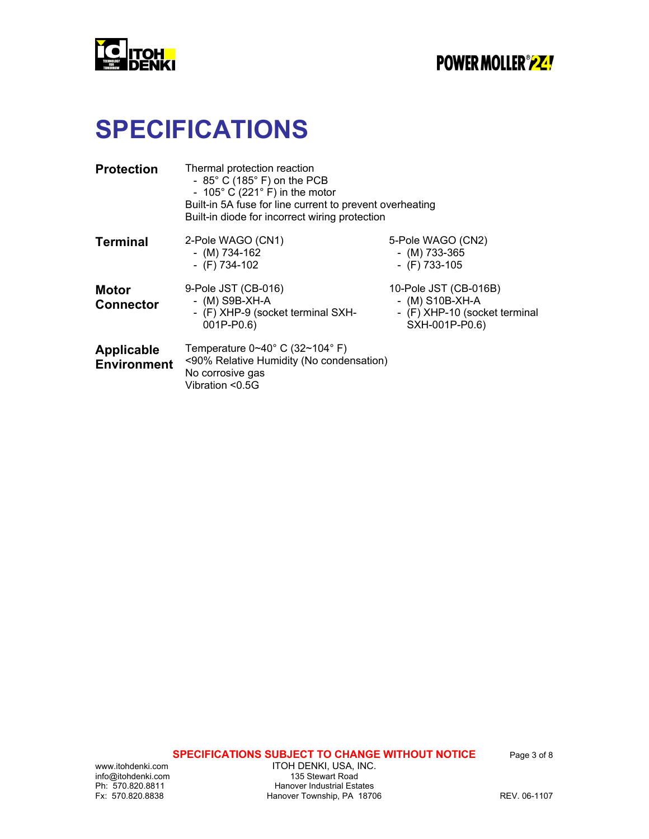

# **SPECIFICATIONS**

| <b>Protection</b>                       | Thermal protection reaction<br>- $85^{\circ}$ C (185 $^{\circ}$ F) on the PCB<br>- 105 $^{\circ}$ C (221 $^{\circ}$ F) in the motor<br>Built-in 5A fuse for line current to prevent overheating<br>Built-in diode for incorrect wiring protection |                                                                                               |  |  |  |
|-----------------------------------------|---------------------------------------------------------------------------------------------------------------------------------------------------------------------------------------------------------------------------------------------------|-----------------------------------------------------------------------------------------------|--|--|--|
| <b>Terminal</b>                         | 2-Pole WAGO (CN1)<br>- (M) $734-162$<br>- $(F)$ 734-102                                                                                                                                                                                           | 5-Pole WAGO (CN2)<br>- (M) $733-365$<br>- $(F)$ 733-105                                       |  |  |  |
| <b>Motor</b><br><b>Connector</b>        | 9-Pole JST (CB-016)<br>- $(M)$ S9B-XH-A<br>- (F) XHP-9 (socket terminal SXH-<br>001P-P0.6)                                                                                                                                                        | 10-Pole JST (CB-016B)<br>- $(M)$ S10B-XH-A<br>- (F) XHP-10 (socket terminal<br>SXH-001P-P0.6) |  |  |  |
| <b>Applicable</b><br><b>Environment</b> | Temperature $0 \sim 40^{\circ}$ C (32~104° F)<br><90% Relative Humidity (No condensation)<br>No corrosive gas<br>Vibration <0.5G                                                                                                                  |                                                                                               |  |  |  |

**SPECIFICATIONS SUBJECT TO CHANGE WITHOUT NOTICE** Page 3 of 8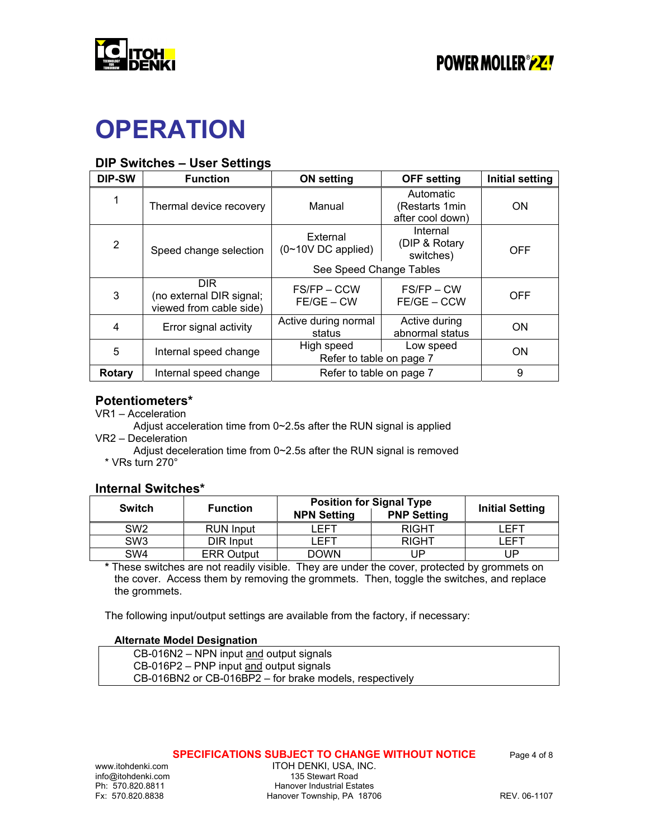

# **OPERATION**

### **DIP Switches – User Settings**

| <b>DIP-SW</b> | <b>Function</b>                                             | <b>ON setting</b>                                   | <b>OFF setting</b>                              | <b>Initial setting</b> |
|---------------|-------------------------------------------------------------|-----------------------------------------------------|-------------------------------------------------|------------------------|
| 1             | Thermal device recovery                                     | Manual                                              | Automatic<br>(Restarts 1min<br>after cool down) | <b>ON</b>              |
| 2             | Speed change selection                                      | External<br>$(0~10V)$ DC applied)                   |                                                 | <b>OFF</b>             |
|               |                                                             | See Speed Change Tables                             |                                                 |                        |
| 3             | DIR.<br>(no external DIR signal;<br>viewed from cable side) | FS/FP-CCW<br>$FE/GE - CW$                           | FS/FP – CW<br>FE/GE - CCW                       | <b>OFF</b>             |
| 4             | Error signal activity                                       | Active during normal<br>status                      | Active during<br>abnormal status                | <b>ON</b>              |
| 5             | Internal speed change                                       | High speed<br>Low speed<br>Refer to table on page 7 |                                                 | <b>ON</b>              |
| Rotary        | Internal speed change                                       | Refer to table on page 7                            |                                                 | 9                      |

### **Potentiometers\***

- VR1 Acceleration
- Adjust acceleration time from 0~2.5s after the RUN signal is applied VR2 – Deceleration
	- Adjust deceleration time from 0~2.5s after the RUN signal is removed \* VRs turn 270°

#### **Internal Switches\***

| <b>Switch</b>   | <b>Function</b>   | <b>Position for Signal Type</b> | <b>Initial Setting</b> |            |  |
|-----------------|-------------------|---------------------------------|------------------------|------------|--|
|                 |                   | <b>NPN Setting</b>              | <b>PNP Setting</b>     |            |  |
| SW <sub>2</sub> | <b>RUN Input</b>  | <b>FFT</b>                      | <b>RIGHT</b>           | <b>FFT</b> |  |
| SW <sub>3</sub> | DIR Input         | I FFT                           | <b>RIGHT</b>           | <b>FFT</b> |  |
| SW <sub>4</sub> | <b>ERR Output</b> | <b>DOWN</b>                     | UP                     | JP         |  |

**\*** These switches are not readily visible. They are under the cover, protected by grommets on the cover. Access them by removing the grommets. Then, toggle the switches, and replace the grommets.

The following input/output settings are available from the factory, if necessary:

#### **Alternate Model Designation**

| CB-016N2 – NPN input and output signals                 |  |
|---------------------------------------------------------|--|
| $CB-016P2$ – PNP input and output signals               |  |
| CB-016BN2 or CB-016BP2 – for brake models, respectively |  |

#### **SPECIFICATIONS SUBJECT TO CHANGE WITHOUT NOTICE** Page 4 of 8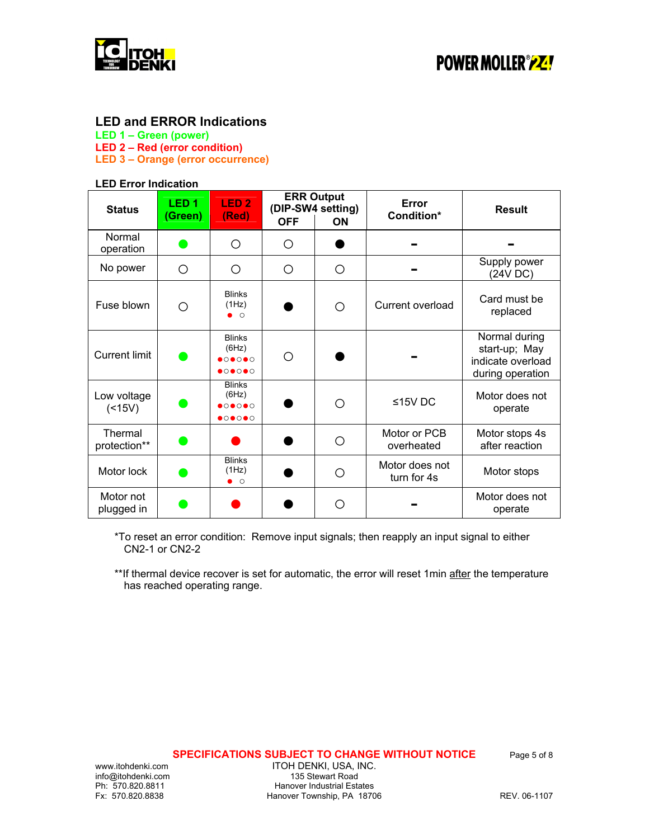

#### **LED and ERROR Indications**

**LED 1 – Green (power)** 

**LED 2 – Red (error condition)** 

**LED 3 – Orange (error occurrence)** 

#### **LED Error Indication**

| <b>Status</b>             | LED <sub>1</sub><br>(Green) | LED <sub>2</sub><br>(Red)                                                                            | <b>OFF</b> | <b>ERR Output</b><br>(DIP-SW4 setting)<br><b>ON</b> | Error<br>Condition*           | <b>Result</b>                                                           |
|---------------------------|-----------------------------|------------------------------------------------------------------------------------------------------|------------|-----------------------------------------------------|-------------------------------|-------------------------------------------------------------------------|
| Normal<br>operation       | Ð                           | ∩                                                                                                    | Ω          |                                                     |                               |                                                                         |
| No power                  | ∩                           | ◯                                                                                                    | ◯          | O                                                   |                               | Supply power<br>(24V DC)                                                |
| Fuse blown                | ∩                           | <b>Blinks</b><br>(1Hz)<br>$\bullet$ $\circ$                                                          |            | ◯                                                   | Current overload              | Card must be<br>replaced                                                |
| <b>Current limit</b>      |                             | <b>Blinks</b><br>(6Hz)<br>$\bullet$ 0 $\bullet$ 0 $\bullet$ 0<br>$\bullet$ 0 $\bullet$ 0 $\bullet$ 0 | ∩          |                                                     |                               | Normal during<br>start-up; May<br>indicate overload<br>during operation |
| Low voltage<br>$($ < 15V) |                             | <b>Blinks</b><br>(6Hz)<br>$\bullet$ 0 $\bullet$ 0 $\bullet$ 0                                        |            | ∩                                                   | $≤15V$ DC                     | Motor does not<br>operate                                               |
| Thermal<br>protection**   |                             |                                                                                                      |            | ∩                                                   | Motor or PCB<br>overheated    | Motor stops 4s<br>after reaction                                        |
| Motor lock                |                             | <b>Blinks</b><br>(1Hz)<br>$\bullet$ $\circ$                                                          |            | Ω                                                   | Motor does not<br>turn for 4s | Motor stops                                                             |
| Motor not<br>plugged in   |                             |                                                                                                      |            | ∩                                                   |                               | Motor does not<br>operate                                               |

\*To reset an error condition: Remove input signals; then reapply an input signal to either CN2-1 or CN2-2

\*\*If thermal device recover is set for automatic, the error will reset 1min after the temperature has reached operating range.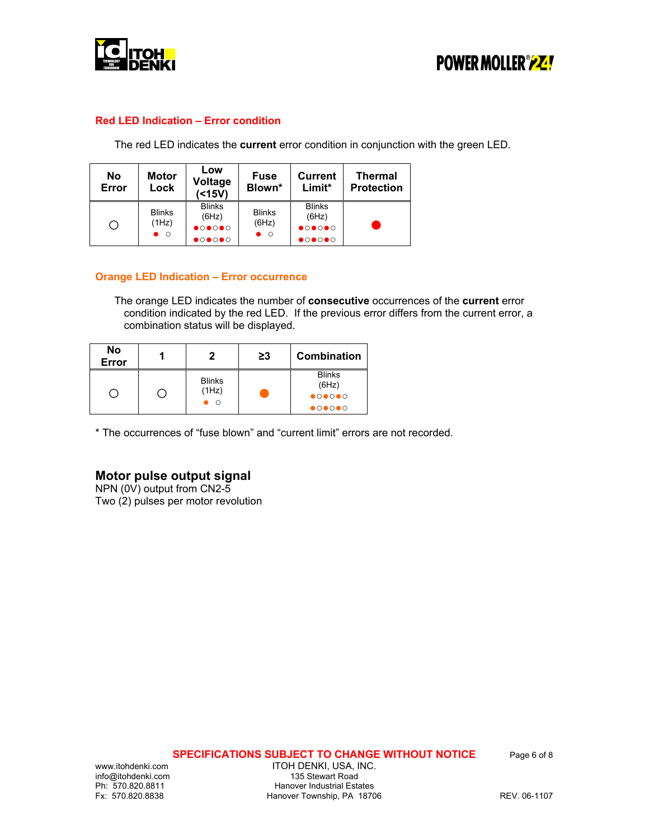



#### **Red LED Indication – Error condition**

The red LED indicates the **current** error condition in conjunction with the green LED.

| No<br>Error | <b>Motor</b><br>Lock                  | Low<br><b>Fuse</b><br>Voltage<br>Blown*<br>( < 15V)                                                  |                                             | <b>Current</b><br>$Limit*$                                                                           | <b>Thermal</b><br><b>Protection</b> |
|-------------|---------------------------------------|------------------------------------------------------------------------------------------------------|---------------------------------------------|------------------------------------------------------------------------------------------------------|-------------------------------------|
| Ö           | <b>Blinks</b><br>(1Hz)<br>$\bullet$ 0 | <b>Blinks</b><br>(6Hz)<br>$\bullet$ 0 $\bullet$ 0 $\bullet$ 0<br>$\bullet$ 0 $\bullet$ 0 $\bullet$ 0 | <b>Blinks</b><br>(6Hz)<br>$\bullet$ $\circ$ | <b>Blinks</b><br>(6Hz)<br>$\bullet$ 0 $\bullet$ 0 $\bullet$ 0<br>$\bullet$ 0 $\bullet$ 0 $\bullet$ 0 |                                     |

#### **Orange LED Indication – Error occurrence**

The orange LED indicates the number of **consecutive** occurrences of the **current** error condition indicated by the red LED. If the previous error differs from the current error, a combination status will be displayed.

| No<br><b>Error</b> |                             | ≥3 | Combination                                                  |
|--------------------|-----------------------------|----|--------------------------------------------------------------|
|                    | <b>Blinks</b><br>(1Hz)<br>Ω |    | <b>Blinks</b><br>(6Hz)                                       |
|                    |                             |    | $\bullet$ <b>O<math>\bullet</math>O<math>\bullet</math>O</b> |
|                    |                             |    | $\bullet$ 0 $\bullet$ 0 $\bullet$ 0                          |

\* The occurrences of "fuse blown" and "current limit" errors are not recorded.

#### **Motor pulse output signal**

NPN (0V) output from CN2-5 Two (2) pulses per motor revolution

**SPECIFICATIONS SUBJECT TO CHANGE WITHOUT NOTICE** Page 6 of 8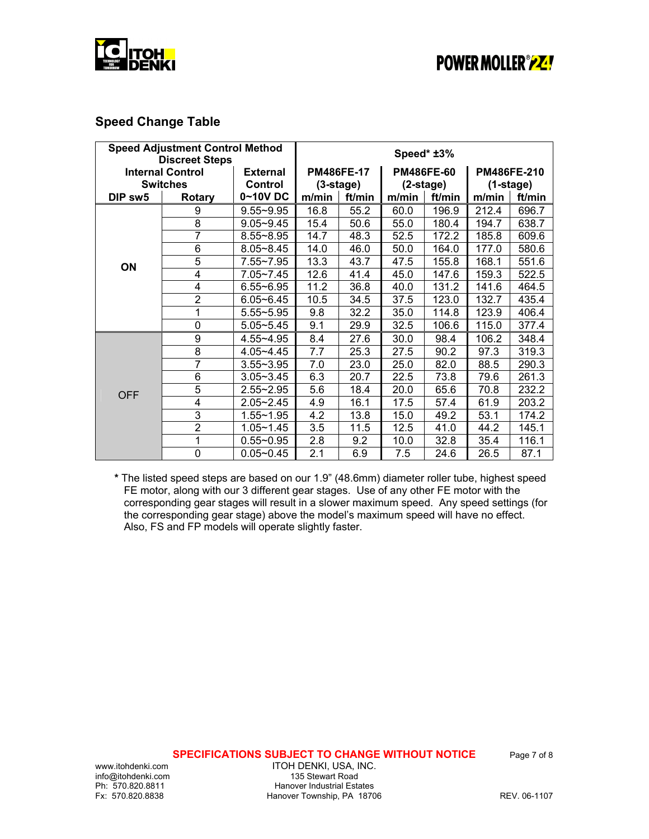



### **Speed Change Table**

| <b>Speed Adjustment Control Method</b><br><b>Discreet Steps</b> |                | Speed* ±3%      |                   |        |                   |        |                    |        |
|-----------------------------------------------------------------|----------------|-----------------|-------------------|--------|-------------------|--------|--------------------|--------|
| <b>Internal Control</b>                                         |                | <b>External</b> | <b>PM486FE-17</b> |        | <b>PM486FE-60</b> |        | <b>PM486FE-210</b> |        |
| <b>Switches</b>                                                 |                | <b>Control</b>  | $(3 - stage)$     |        | (2-stage)         |        | $(1-state)$        |        |
| DIP sw5                                                         | <b>Rotary</b>  | 0~10V DC        | m/min             | ft/min | m/min             | ft/min | m/min              | ft/min |
|                                                                 | 9              | $9.55 - 9.95$   | 16.8              | 55.2   | 60.0              | 196.9  | 212.4              | 696.7  |
|                                                                 | 8              | $9.05 - 9.45$   | 15.4              | 50.6   | 55.0              | 180.4  | 194.7              | 638.7  |
|                                                                 | $\overline{7}$ | $8.55 - 8.95$   | 14.7              | 48.3   | 52.5              | 172.2  | 185.8              | 609.6  |
|                                                                 | 6              | $8.05 - 8.45$   | 14.0              | 46.0   | 50.0              | 164.0  | 177.0              | 580.6  |
| ON                                                              | 5              | $7.55 - 7.95$   | 13.3              | 43.7   | 47.5              | 155.8  | 168.1              | 551.6  |
|                                                                 | 4              | $7.05 - 7.45$   | 12.6              | 41.4   | 45.0              | 147.6  | 159.3              | 522.5  |
|                                                                 | 4              | $6.55 - 6.95$   | 11.2              | 36.8   | 40.0              | 131.2  | 141.6              | 464.5  |
|                                                                 | $\overline{2}$ | $6.05 - 6.45$   | 10.5              | 34.5   | 37.5              | 123.0  | 132.7              | 435.4  |
|                                                                 | 1              | $5.55 - 5.95$   | 9.8               | 32.2   | 35.0              | 114.8  | 123.9              | 406.4  |
|                                                                 | $\mathbf 0$    | $5.05 - 5.45$   | 9.1               | 29.9   | 32.5              | 106.6  | 115.0              | 377.4  |
|                                                                 | 9              | 4.55~4.95       | 8.4               | 27.6   | 30.0              | 98.4   | 106.2              | 348.4  |
|                                                                 | 8              | $4.05 - 4.45$   | 7.7               | 25.3   | 27.5              | 90.2   | 97.3               | 319.3  |
|                                                                 | 7              | $3.55 - 3.95$   | 7.0               | 23.0   | 25.0              | 82.0   | 88.5               | 290.3  |
|                                                                 | 6              | $3.05 - 3.45$   | 6.3               | 20.7   | 22.5              | 73.8   | 79.6               | 261.3  |
| <b>OFF</b>                                                      | 5              | $2.55 - 2.95$   | 5.6               | 18.4   | 20.0              | 65.6   | 70.8               | 232.2  |
|                                                                 | 4              | $2.05 - 2.45$   | 4.9               | 16.1   | 17.5              | 57.4   | 61.9               | 203.2  |
|                                                                 | 3              | $1.55 - 1.95$   | 4.2               | 13.8   | 15.0              | 49.2   | 53.1               | 174.2  |
|                                                                 | $\overline{2}$ | $1.05 - 1.45$   | 3.5               | 11.5   | 12.5              | 41.0   | 44.2               | 145.1  |
|                                                                 | 1              | $0.55 - 0.95$   | 2.8               | 9.2    | 10.0              | 32.8   | 35.4               | 116.1  |
|                                                                 | $\mathbf 0$    | $0.05 - 0.45$   | 2.1               | 6.9    | 7.5               | 24.6   | 26.5               | 87.1   |

**\*** The listed speed steps are based on our 1.9" (48.6mm) diameter roller tube, highest speed FE motor, along with our 3 different gear stages. Use of any other FE motor with the corresponding gear stages will result in a slower maximum speed. Any speed settings (for the corresponding gear stage) above the model's maximum speed will have no effect. Also, FS and FP models will operate slightly faster.

**SPECIFICATIONS SUBJECT TO CHANGE WITHOUT NOTICE** Page 7 of 8